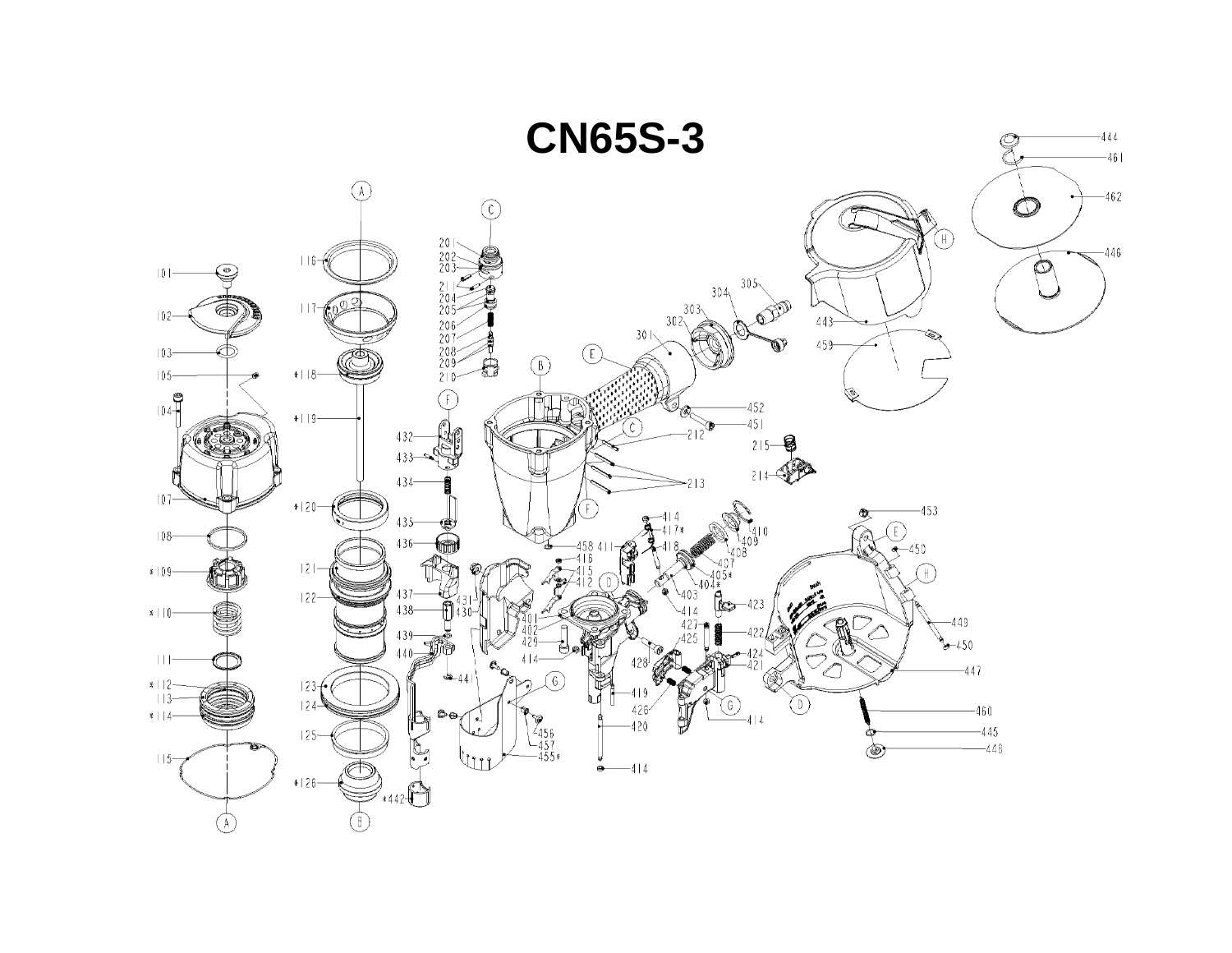